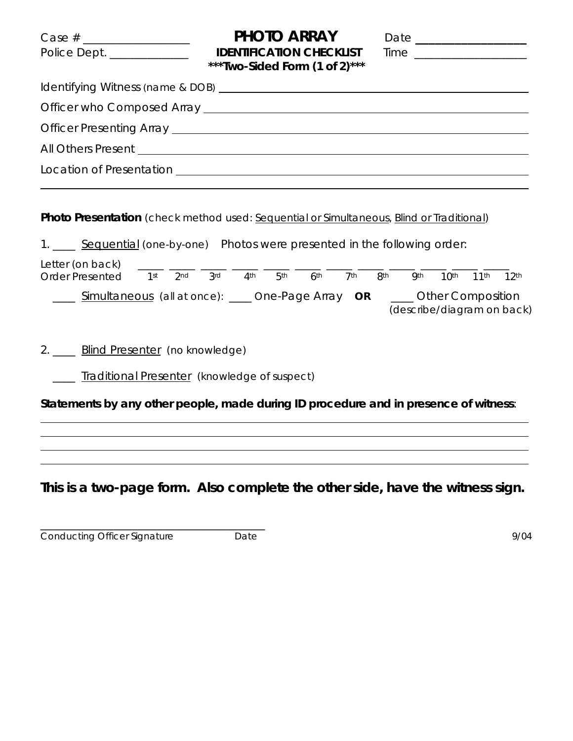| $Case # \_$<br>Police Dept. ______________ | PHOTO ARRAY<br><b>IDENTIFICATION CHECKLIST</b><br>*** Two-Sided Form $(1 \text{ of } 2)$ *** | Time |  |  |
|--------------------------------------------|----------------------------------------------------------------------------------------------|------|--|--|
|                                            |                                                                                              |      |  |  |
|                                            |                                                                                              |      |  |  |
|                                            |                                                                                              |      |  |  |
|                                            |                                                                                              |      |  |  |
|                                            |                                                                                              |      |  |  |

**Photo Presentation** *(check method used: Sequential or Simultaneous, Blind or Traditional)* 

1. \_\_\_\_ Sequential *(one-by-one)* Photos were presented in the following order: Letter (on back)  $\frac{1}{1^{st}}$   $\frac{1}{2^{nd}}$   $\frac{1}{3^{rd}}$   $\frac{1}{4^{th}}$   $\frac{1}{5^{th}}$   $\frac{1}{6^{th}}$   $\frac{1}{7^{th}}$   $\frac{1}{3^{th}}$   $\frac{1}{9^{th}}$   $\frac{1}{10^{th}}$   $\frac{1}{11^{th}}$   $\frac{1}{2^{th}}$ Order Presented 1st \_\_\_\_ Simultaneous *(all at once*): \_\_\_\_ One-Page Array **OR** \_\_\_\_ Other Composition *(describe/diagram on back)* 

2. \_\_\_\_ Blind Presenter *(no knowledge)* 

\_\_\_\_\_\_\_\_\_\_\_\_\_\_\_\_\_\_\_\_\_\_\_\_\_\_\_\_\_\_\_\_\_\_\_\_\_\_\_\_

\_\_\_\_ Traditional Presenter *(knowledge of suspect)*

**Statements by any other people, made during ID procedure and in presence of witness**:

**This is a two-page form. Also complete the other side, have the witness sign.** 

Conducting Officer Signature Date Date 9/04